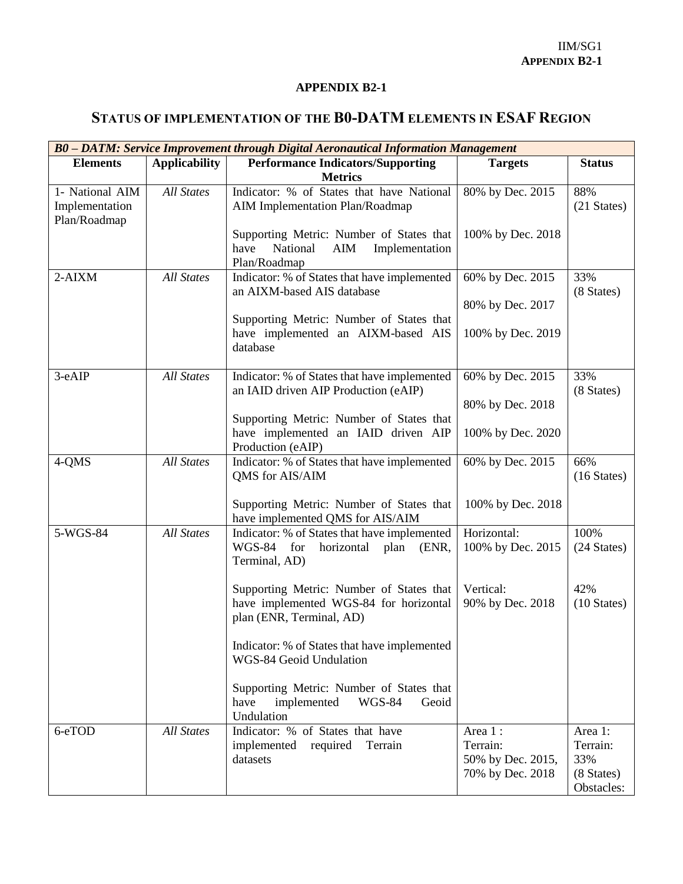## **APPENDIX B2-1**

## **STATUS OF IMPLEMENTATION OF THE B0-DATM ELEMENTS IN ESAF REGION**

| B0 - DATM: Service Improvement through Digital Aeronautical Information Management |                      |                                                                                                                |                                                              |                                                        |  |  |
|------------------------------------------------------------------------------------|----------------------|----------------------------------------------------------------------------------------------------------------|--------------------------------------------------------------|--------------------------------------------------------|--|--|
| <b>Elements</b>                                                                    | <b>Applicability</b> | <b>Performance Indicators/Supporting</b><br><b>Metrics</b>                                                     | <b>Targets</b>                                               | <b>Status</b>                                          |  |  |
| 1- National AIM<br>Implementation<br>Plan/Roadmap                                  | <b>All States</b>    | Indicator: % of States that have National<br>AIM Implementation Plan/Roadmap                                   | 80% by Dec. 2015                                             | 88%<br>(21 States)                                     |  |  |
|                                                                                    |                      | Supporting Metric: Number of States that<br>have<br>National<br>AIM<br>Implementation<br>Plan/Roadmap          | 100% by Dec. 2018                                            |                                                        |  |  |
| $2-AIXM$                                                                           | <b>All States</b>    | Indicator: % of States that have implemented<br>an AIXM-based AIS database                                     | 60% by Dec. 2015                                             | 33%<br>(8 States)                                      |  |  |
|                                                                                    |                      | Supporting Metric: Number of States that<br>have implemented an AIXM-based AIS<br>database                     | 80% by Dec. 2017<br>100% by Dec. 2019                        |                                                        |  |  |
| 3-eAIP                                                                             | <b>All States</b>    | Indicator: % of States that have implemented<br>an IAID driven AIP Production (eAIP)                           | 60% by Dec. 2015<br>80% by Dec. 2018                         | 33%<br>(8 States)                                      |  |  |
|                                                                                    |                      | Supporting Metric: Number of States that<br>have implemented an IAID driven AIP<br>Production (eAIP)           | 100% by Dec. 2020                                            |                                                        |  |  |
| 4-QMS                                                                              | <b>All States</b>    | Indicator: % of States that have implemented<br>QMS for AIS/AIM                                                | 60% by Dec. 2015                                             | 66%<br>$(16 \text{ States})$                           |  |  |
|                                                                                    |                      | Supporting Metric: Number of States that<br>have implemented QMS for AIS/AIM                                   | 100% by Dec. 2018                                            |                                                        |  |  |
| 5-WGS-84                                                                           | <b>All States</b>    | Indicator: % of States that have implemented<br>WGS-84 for<br>horizontal<br>plan (ENR,<br>Terminal, AD)        | Horizontal:<br>100% by Dec. 2015                             | 100%<br>(24 States)                                    |  |  |
|                                                                                    |                      | Supporting Metric: Number of States that<br>have implemented WGS-84 for horizontal<br>plan (ENR, Terminal, AD) | Vertical:<br>90% by Dec. 2018                                | 42%<br>$(10 \text{ States})$                           |  |  |
|                                                                                    |                      | Indicator: % of States that have implemented<br>WGS-84 Geoid Undulation                                        |                                                              |                                                        |  |  |
|                                                                                    |                      | Supporting Metric: Number of States that<br>implemented<br>have<br><b>WGS-84</b><br>Geoid<br>Undulation        |                                                              |                                                        |  |  |
| 6-eTOD                                                                             | <b>All States</b>    | Indicator: % of States that have<br>implemented required<br>Terrain<br>datasets                                | Area 1:<br>Terrain:<br>50% by Dec. 2015,<br>70% by Dec. 2018 | Area 1:<br>Terrain:<br>33%<br>(8 States)<br>Obstacles: |  |  |